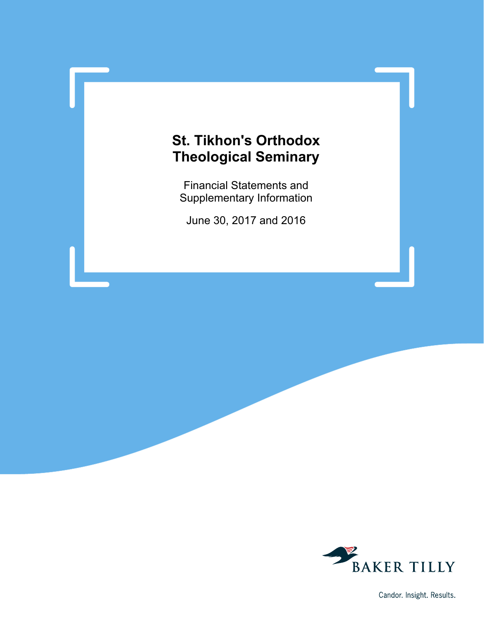Financial Statements and Supplementary Information

June 30, 2017 and 2016



Candor. Insight. Results.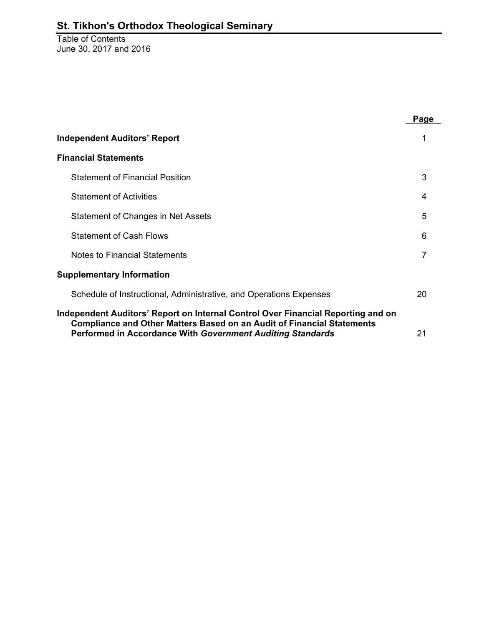Table of Contents June 30, 2017 and 2016

|                                                                                                                                                                                                                                        | Page |
|----------------------------------------------------------------------------------------------------------------------------------------------------------------------------------------------------------------------------------------|------|
| <b>Independent Auditors' Report</b>                                                                                                                                                                                                    |      |
| <b>Financial Statements</b>                                                                                                                                                                                                            |      |
| <b>Statement of Financial Position</b>                                                                                                                                                                                                 | 3    |
| <b>Statement of Activities</b>                                                                                                                                                                                                         | 4    |
| Statement of Changes in Net Assets                                                                                                                                                                                                     | 5    |
| <b>Statement of Cash Flows</b>                                                                                                                                                                                                         | 6    |
| Notes to Financial Statements                                                                                                                                                                                                          | 7    |
| <b>Supplementary Information</b>                                                                                                                                                                                                       |      |
| Schedule of Instructional, Administrative, and Operations Expenses                                                                                                                                                                     | 20   |
| Independent Auditors' Report on Internal Control Over Financial Reporting and on<br><b>Compliance and Other Matters Based on an Audit of Financial Statements</b><br><b>Performed in Accordance With Government Auditing Standards</b> | 21   |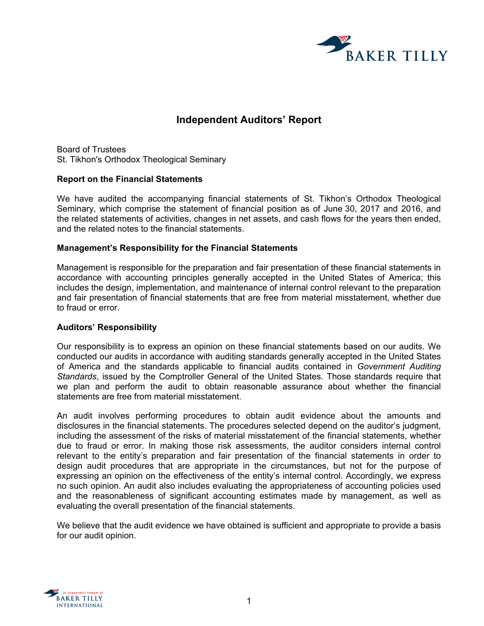

# **Independent Auditors' Report**

Board of Trustees St. Tikhon's Orthodox Theological Seminary

### **Report on the Financial Statements**

We have audited the accompanying financial statements of St. Tikhon's Orthodox Theological Seminary, which comprise the statement of financial position as of June 30, 2017 and 2016, and the related statements of activities, changes in net assets, and cash flows for the years then ended, and the related notes to the financial statements.

### **Management's Responsibility for the Financial Statements**

Management is responsible for the preparation and fair presentation of these financial statements in accordance with accounting principles generally accepted in the United States of America; this includes the design, implementation, and maintenance of internal control relevant to the preparation and fair presentation of financial statements that are free from material misstatement, whether due to fraud or error.

#### **Auditors' Responsibility**

Our responsibility is to express an opinion on these financial statements based on our audits. We conducted our audits in accordance with auditing standards generally accepted in the United States of America and the standards applicable to financial audits contained in *Government Auditing Standards*, issued by the Comptroller General of the United States. Those standards require that we plan and perform the audit to obtain reasonable assurance about whether the financial statements are free from material misstatement.

An audit involves performing procedures to obtain audit evidence about the amounts and disclosures in the financial statements. The procedures selected depend on the auditor's judgment, including the assessment of the risks of material misstatement of the financial statements, whether due to fraud or error. In making those risk assessments, the auditor considers internal control relevant to the entity's preparation and fair presentation of the financial statements in order to design audit procedures that are appropriate in the circumstances, but not for the purpose of expressing an opinion on the effectiveness of the entity's internal control. Accordingly, we express no such opinion. An audit also includes evaluating the appropriateness of accounting policies used and the reasonableness of significant accounting estimates made by management, as well as evaluating the overall presentation of the financial statements.

We believe that the audit evidence we have obtained is sufficient and appropriate to provide a basis for our audit opinion.

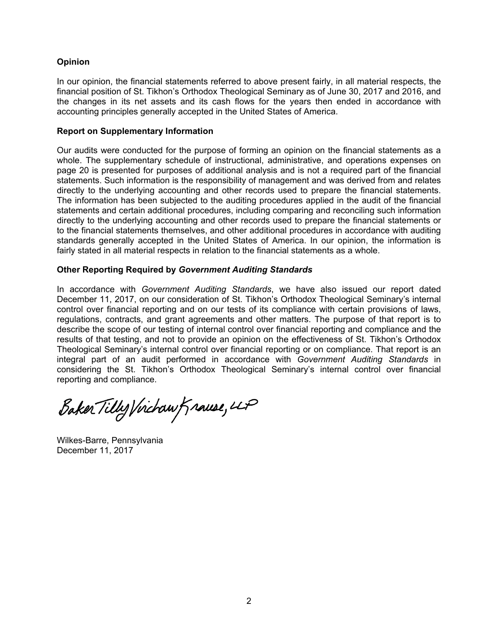# **Opinion**

In our opinion, the financial statements referred to above present fairly, in all material respects, the financial position of St. Tikhon's Orthodox Theological Seminary as of June 30, 2017 and 2016, and the changes in its net assets and its cash flows for the years then ended in accordance with accounting principles generally accepted in the United States of America.

### **Report on Supplementary Information**

Our audits were conducted for the purpose of forming an opinion on the financial statements as a whole. The supplementary schedule of instructional, administrative, and operations expenses on page 20 is presented for purposes of additional analysis and is not a required part of the financial statements. Such information is the responsibility of management and was derived from and relates directly to the underlying accounting and other records used to prepare the financial statements. The information has been subjected to the auditing procedures applied in the audit of the financial statements and certain additional procedures, including comparing and reconciling such information directly to the underlying accounting and other records used to prepare the financial statements or to the financial statements themselves, and other additional procedures in accordance with auditing standards generally accepted in the United States of America. In our opinion, the information is fairly stated in all material respects in relation to the financial statements as a whole.

# **Other Reporting Required by** *Government Auditing Standards*

In accordance with *Government Auditing Standards*, we have also issued our report dated December 11, 2017, on our consideration of St. Tikhon's Orthodox Theological Seminary's internal control over financial reporting and on our tests of its compliance with certain provisions of laws, regulations, contracts, and grant agreements and other matters. The purpose of that report is to describe the scope of our testing of internal control over financial reporting and compliance and the results of that testing, and not to provide an opinion on the effectiveness of St. Tikhon's Orthodox Theological Seminary's internal control over financial reporting or on compliance. That report is an integral part of an audit performed in accordance with *Government Auditing Standards* in considering the St. Tikhon's Orthodox Theological Seminary's internal control over financial reporting and compliance.

Baker Tilly Virchaw Krause, LLP

Wilkes-Barre, Pennsylvania December 11, 2017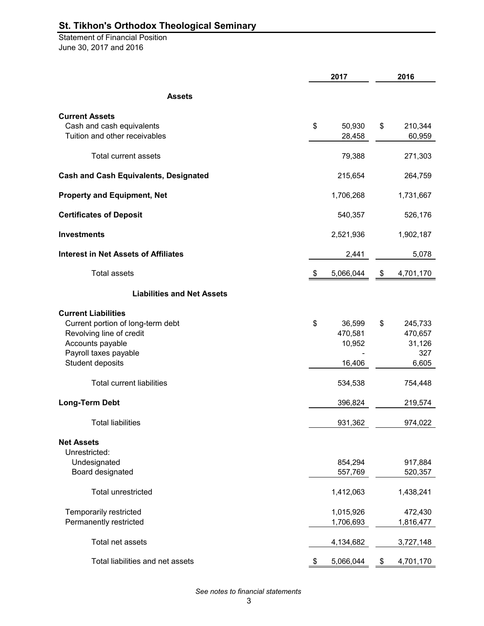Statement of Financial Position June 30, 2017 and 2016

|                                                                                                                                                              | 2017 |                                       |    | 2016                                         |
|--------------------------------------------------------------------------------------------------------------------------------------------------------------|------|---------------------------------------|----|----------------------------------------------|
| <b>Assets</b>                                                                                                                                                |      |                                       |    |                                              |
| <b>Current Assets</b><br>Cash and cash equivalents<br>Tuition and other receivables                                                                          | \$   | 50,930<br>28,458                      | \$ | 210,344<br>60,959                            |
| <b>Total current assets</b>                                                                                                                                  |      | 79,388                                |    | 271,303                                      |
| <b>Cash and Cash Equivalents, Designated</b>                                                                                                                 |      | 215,654                               |    | 264,759                                      |
| <b>Property and Equipment, Net</b>                                                                                                                           |      | 1,706,268                             |    | 1,731,667                                    |
| <b>Certificates of Deposit</b>                                                                                                                               |      | 540,357                               |    | 526,176                                      |
| <b>Investments</b>                                                                                                                                           |      | 2,521,936                             |    | 1,902,187                                    |
| <b>Interest in Net Assets of Affiliates</b>                                                                                                                  |      | 2,441                                 |    | 5,078                                        |
| <b>Total assets</b>                                                                                                                                          | \$   | 5,066,044                             | \$ | 4,701,170                                    |
| <b>Liabilities and Net Assets</b>                                                                                                                            |      |                                       |    |                                              |
| <b>Current Liabilities</b><br>Current portion of long-term debt<br>Revolving line of credit<br>Accounts payable<br>Payroll taxes payable<br>Student deposits | \$   | 36,599<br>470,581<br>10,952<br>16,406 | \$ | 245,733<br>470,657<br>31,126<br>327<br>6,605 |
| <b>Total current liabilities</b>                                                                                                                             |      | 534,538                               |    | 754,448                                      |
| <b>Long-Term Debt</b>                                                                                                                                        |      | 396,824                               |    | 219,574                                      |
| <b>Total liabilities</b>                                                                                                                                     |      | 931,362                               |    | 974,022                                      |
| <b>Net Assets</b><br>Unrestricted:                                                                                                                           |      |                                       |    |                                              |
| Undesignated<br>Board designated                                                                                                                             |      | 854,294<br>557,769                    |    | 917,884<br>520,357                           |
| <b>Total unrestricted</b>                                                                                                                                    |      | 1,412,063                             |    | 1,438,241                                    |
| Temporarily restricted<br>Permanently restricted                                                                                                             |      | 1,015,926<br>1,706,693                |    | 472,430<br>1,816,477                         |
| Total net assets                                                                                                                                             |      | 4,134,682                             |    | 3,727,148                                    |
| Total liabilities and net assets                                                                                                                             | \$   | 5,066,044                             | \$ | 4,701,170                                    |

*See notes to financial statements*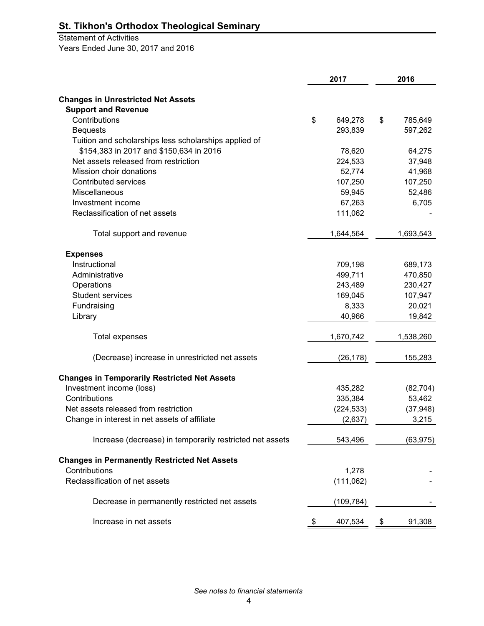# Statement of Activities

Years Ended June 30, 2017 and 2016

|                                                          | 2017          | 2016          |
|----------------------------------------------------------|---------------|---------------|
|                                                          |               |               |
| <b>Changes in Unrestricted Net Assets</b>                |               |               |
| <b>Support and Revenue</b>                               |               |               |
| Contributions                                            | \$<br>649,278 | \$<br>785,649 |
| <b>Bequests</b>                                          | 293,839       | 597,262       |
| Tuition and scholarships less scholarships applied of    |               |               |
| \$154,383 in 2017 and \$150,634 in 2016                  | 78,620        | 64,275        |
| Net assets released from restriction                     | 224,533       | 37,948        |
| Mission choir donations                                  | 52,774        | 41,968        |
| Contributed services                                     | 107,250       | 107,250       |
| Miscellaneous                                            | 59,945        | 52,486        |
| Investment income                                        | 67,263        | 6,705         |
| Reclassification of net assets                           | 111,062       |               |
| Total support and revenue                                | 1,644,564     | 1,693,543     |
| <b>Expenses</b>                                          |               |               |
| Instructional                                            | 709,198       | 689,173       |
| Administrative                                           | 499,711       | 470,850       |
| Operations                                               | 243,489       | 230,427       |
| <b>Student services</b>                                  | 169,045       | 107,947       |
| Fundraising                                              | 8,333         | 20,021        |
| Library                                                  | 40,966        | 19,842        |
| Total expenses                                           | 1,670,742     | 1,538,260     |
| (Decrease) increase in unrestricted net assets           | (26, 178)     | 155,283       |
| <b>Changes in Temporarily Restricted Net Assets</b>      |               |               |
| Investment income (loss)                                 | 435,282       | (82, 704)     |
| Contributions                                            | 335,384       | 53,462        |
| Net assets released from restriction                     | (224, 533)    | (37, 948)     |
| Change in interest in net assets of affiliate            | (2,637)       | 3,215         |
| Increase (decrease) in temporarily restricted net assets | 543,496       | (63, 975)     |
| <b>Changes in Permanently Restricted Net Assets</b>      |               |               |
| Contributions                                            | 1,278         |               |
| Reclassification of net assets                           | (111, 062)    |               |
| Decrease in permanently restricted net assets            | (109, 784)    |               |
|                                                          |               |               |
| Increase in net assets                                   | \$<br>407,534 | \$<br>91,308  |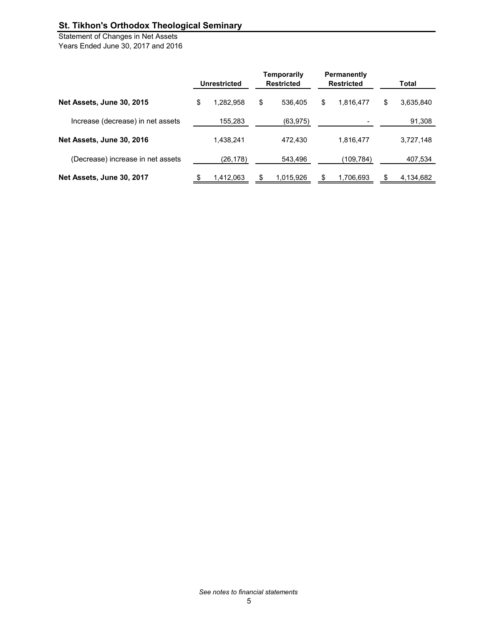Statement of Changes in Net Assets Years Ended June 30, 2017 and 2016

|                                   | Unrestricted    | <b>Temporarily</b><br><b>Restricted</b> |    | <b>Permanently</b><br><b>Restricted</b> | Total           |
|-----------------------------------|-----------------|-----------------------------------------|----|-----------------------------------------|-----------------|
| Net Assets, June 30, 2015         | \$<br>1.282.958 | \$<br>536.405                           | \$ | 1,816,477                               | \$<br>3,635,840 |
| Increase (decrease) in net assets | 155,283         | (63, 975)                               |    |                                         | 91,308          |
| Net Assets, June 30, 2016         | 1.438.241       | 472,430                                 |    | 1,816,477                               | 3,727,148       |
| (Decrease) increase in net assets | (26,178)        | 543,496                                 |    | (109,784)                               | 407,534         |
| Net Assets, June 30, 2017         | \$<br>1,412,063 | \$<br>1,015,926                         | S  | 1,706,693                               | 4,134,682       |

*See notes to financial statements*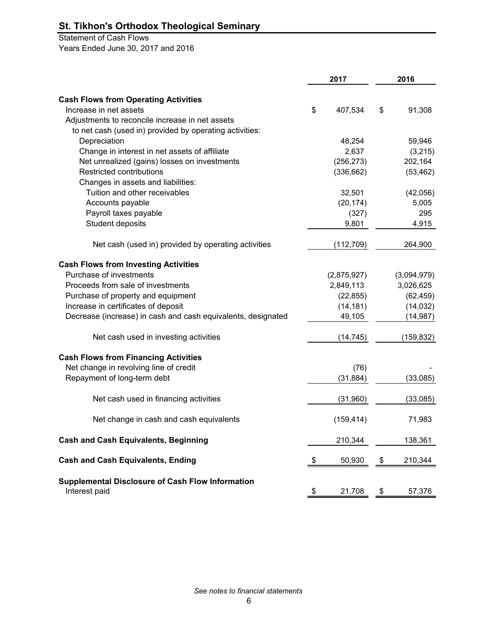### Statement of Cash Flows

Years Ended June 30, 2017 and 2016

|                                                                          | 2017 |             |    | 2016        |
|--------------------------------------------------------------------------|------|-------------|----|-------------|
|                                                                          |      |             |    |             |
| <b>Cash Flows from Operating Activities</b>                              |      |             |    |             |
| Increase in net assets                                                   | \$   | 407,534     | \$ | 91,308      |
| Adjustments to reconcile increase in net assets                          |      |             |    |             |
| to net cash (used in) provided by operating activities:                  |      |             |    |             |
| Depreciation                                                             |      | 48,254      |    | 59,946      |
| Change in interest in net assets of affiliate                            |      | 2,637       |    | (3,215)     |
| Net unrealized (gains) losses on investments                             |      | (256, 273)  |    | 202,164     |
| Restricted contributions                                                 |      | (336, 662)  |    | (53, 462)   |
| Changes in assets and liabilities:                                       |      |             |    |             |
| Tuition and other receivables                                            |      | 32,501      |    | (42,056)    |
| Accounts payable                                                         |      | (20, 174)   |    | 5,005       |
| Payroll taxes payable                                                    |      | (327)       |    | 295         |
| Student deposits                                                         |      | 9,801       |    | 4,915       |
| Net cash (used in) provided by operating activities                      |      | (112, 709)  |    | 264,900     |
| <b>Cash Flows from Investing Activities</b>                              |      |             |    |             |
| Purchase of investments                                                  |      | (2,875,927) |    | (3,094,979) |
| Proceeds from sale of investments                                        |      | 2,849,113   |    | 3,026,625   |
| Purchase of property and equipment                                       |      | (22, 855)   |    | (62, 459)   |
| Increase in certificates of deposit                                      |      | (14, 181)   |    | (14, 032)   |
| Decrease (increase) in cash and cash equivalents, designated             |      | 49,105      |    | (14, 987)   |
| Net cash used in investing activities                                    |      | (14, 745)   |    | (159, 832)  |
| <b>Cash Flows from Financing Activities</b>                              |      |             |    |             |
| Net change in revolving line of credit                                   |      | (76)        |    |             |
| Repayment of long-term debt                                              |      | (31, 884)   |    | (33,085)    |
| Net cash used in financing activities                                    |      | (31,960)    |    | (33,085)    |
| Net change in cash and cash equivalents                                  |      | (159, 414)  |    | 71,983      |
| <b>Cash and Cash Equivalents, Beginning</b>                              |      | 210,344     |    | 138,361     |
| <b>Cash and Cash Equivalents, Ending</b>                                 | \$   | 50,930      | \$ | 210,344     |
| <b>Supplemental Disclosure of Cash Flow Information</b><br>Interest paid | \$   | 21,708      | \$ | 57,376      |

*See notes to financial statements*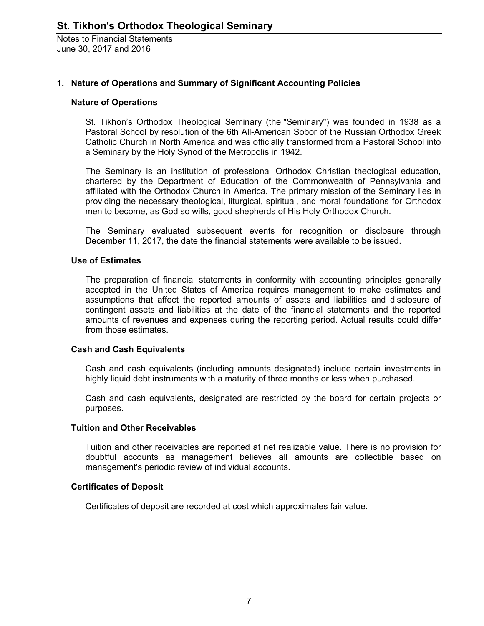# **1. Nature of Operations and Summary of Significant Accounting Policies**

#### **Nature of Operations**

St. Tikhon's Orthodox Theological Seminary (the "Seminary") was founded in 1938 as a Pastoral School by resolution of the 6th All-American Sobor of the Russian Orthodox Greek Catholic Church in North America and was officially transformed from a Pastoral School into a Seminary by the Holy Synod of the Metropolis in 1942.

The Seminary is an institution of professional Orthodox Christian theological education, chartered by the Department of Education of the Commonwealth of Pennsylvania and affiliated with the Orthodox Church in America. The primary mission of the Seminary lies in providing the necessary theological, liturgical, spiritual, and moral foundations for Orthodox men to become, as God so wills, good shepherds of His Holy Orthodox Church.

The Seminary evaluated subsequent events for recognition or disclosure through December 11, 2017, the date the financial statements were available to be issued.

#### **Use of Estimates**

The preparation of financial statements in conformity with accounting principles generally accepted in the United States of America requires management to make estimates and assumptions that affect the reported amounts of assets and liabilities and disclosure of contingent assets and liabilities at the date of the financial statements and the reported amounts of revenues and expenses during the reporting period. Actual results could differ from those estimates.

#### **Cash and Cash Equivalents**

Cash and cash equivalents (including amounts designated) include certain investments in highly liquid debt instruments with a maturity of three months or less when purchased.

Cash and cash equivalents, designated are restricted by the board for certain projects or purposes.

#### **Tuition and Other Receivables**

Tuition and other receivables are reported at net realizable value. There is no provision for doubtful accounts as management believes all amounts are collectible based on management's periodic review of individual accounts.

#### **Certificates of Deposit**

Certificates of deposit are recorded at cost which approximates fair value.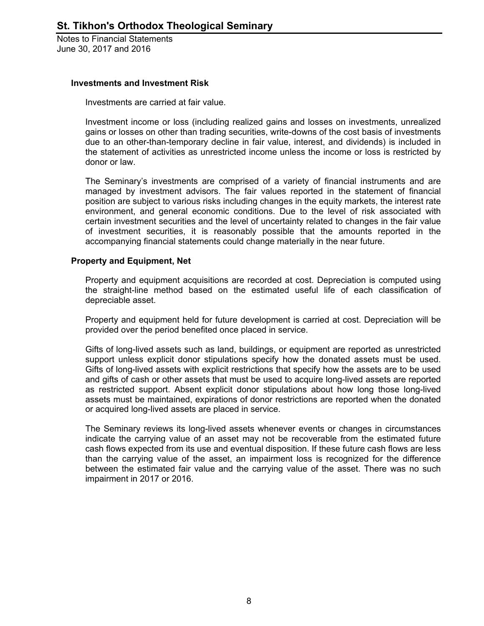### **Investments and Investment Risk**

Investments are carried at fair value.

Investment income or loss (including realized gains and losses on investments, unrealized gains or losses on other than trading securities, write-downs of the cost basis of investments due to an other-than-temporary decline in fair value, interest, and dividends) is included in the statement of activities as unrestricted income unless the income or loss is restricted by donor or law.

The Seminary's investments are comprised of a variety of financial instruments and are managed by investment advisors. The fair values reported in the statement of financial position are subject to various risks including changes in the equity markets, the interest rate environment, and general economic conditions. Due to the level of risk associated with certain investment securities and the level of uncertainty related to changes in the fair value of investment securities, it is reasonably possible that the amounts reported in the accompanying financial statements could change materially in the near future.

# **Property and Equipment, Net**

Property and equipment acquisitions are recorded at cost. Depreciation is computed using the straight-line method based on the estimated useful life of each classification of depreciable asset.

Property and equipment held for future development is carried at cost. Depreciation will be provided over the period benefited once placed in service.

Gifts of long-lived assets such as land, buildings, or equipment are reported as unrestricted support unless explicit donor stipulations specify how the donated assets must be used. Gifts of long-lived assets with explicit restrictions that specify how the assets are to be used and gifts of cash or other assets that must be used to acquire long-lived assets are reported as restricted support. Absent explicit donor stipulations about how long those long-lived assets must be maintained, expirations of donor restrictions are reported when the donated or acquired long-lived assets are placed in service.

The Seminary reviews its long-lived assets whenever events or changes in circumstances indicate the carrying value of an asset may not be recoverable from the estimated future cash flows expected from its use and eventual disposition. If these future cash flows are less than the carrying value of the asset, an impairment loss is recognized for the difference between the estimated fair value and the carrying value of the asset. There was no such impairment in 2017 or 2016.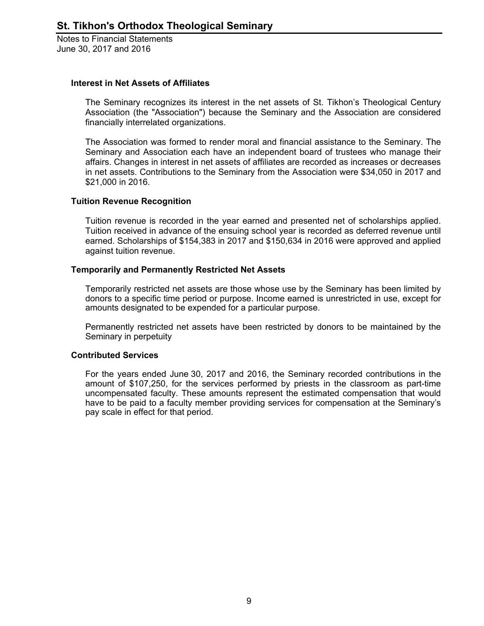### **Interest in Net Assets of Affiliates**

The Seminary recognizes its interest in the net assets of St. Tikhon's Theological Century Association (the "Association") because the Seminary and the Association are considered financially interrelated organizations.

The Association was formed to render moral and financial assistance to the Seminary. The Seminary and Association each have an independent board of trustees who manage their affairs. Changes in interest in net assets of affiliates are recorded as increases or decreases in net assets. Contributions to the Seminary from the Association were \$34,050 in 2017 and \$21,000 in 2016.

# **Tuition Revenue Recognition**

Tuition revenue is recorded in the year earned and presented net of scholarships applied. Tuition received in advance of the ensuing school year is recorded as deferred revenue until earned. Scholarships of \$154,383 in 2017 and \$150,634 in 2016 were approved and applied against tuition revenue.

### **Temporarily and Permanently Restricted Net Assets**

Temporarily restricted net assets are those whose use by the Seminary has been limited by donors to a specific time period or purpose. Income earned is unrestricted in use, except for amounts designated to be expended for a particular purpose.

Permanently restricted net assets have been restricted by donors to be maintained by the Seminary in perpetuity

#### **Contributed Services**

For the years ended June 30, 2017 and 2016, the Seminary recorded contributions in the amount of \$107,250, for the services performed by priests in the classroom as part-time uncompensated faculty. These amounts represent the estimated compensation that would have to be paid to a faculty member providing services for compensation at the Seminary's pay scale in effect for that period.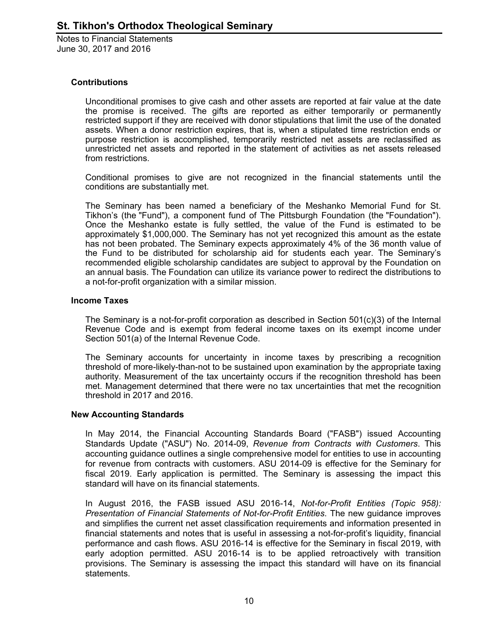# **Contributions**

Unconditional promises to give cash and other assets are reported at fair value at the date the promise is received. The gifts are reported as either temporarily or permanently restricted support if they are received with donor stipulations that limit the use of the donated assets. When a donor restriction expires, that is, when a stipulated time restriction ends or purpose restriction is accomplished, temporarily restricted net assets are reclassified as unrestricted net assets and reported in the statement of activities as net assets released from restrictions.

Conditional promises to give are not recognized in the financial statements until the conditions are substantially met.

The Seminary has been named a beneficiary of the Meshanko Memorial Fund for St. Tikhon's (the "Fund"), a component fund of The Pittsburgh Foundation (the "Foundation"). Once the Meshanko estate is fully settled, the value of the Fund is estimated to be approximately \$1,000,000. The Seminary has not yet recognized this amount as the estate has not been probated. The Seminary expects approximately 4% of the 36 month value of the Fund to be distributed for scholarship aid for students each year. The Seminary's recommended eligible scholarship candidates are subject to approval by the Foundation on an annual basis. The Foundation can utilize its variance power to redirect the distributions to a not-for-profit organization with a similar mission.

### **Income Taxes**

The Seminary is a not-for-profit corporation as described in Section 501(c)(3) of the Internal Revenue Code and is exempt from federal income taxes on its exempt income under Section 501(a) of the Internal Revenue Code.

The Seminary accounts for uncertainty in income taxes by prescribing a recognition threshold of more-likely-than-not to be sustained upon examination by the appropriate taxing authority. Measurement of the tax uncertainty occurs if the recognition threshold has been met. Management determined that there were no tax uncertainties that met the recognition threshold in 2017 and 2016.

# **New Accounting Standards**

In May 2014, the Financial Accounting Standards Board ("FASB") issued Accounting Standards Update ("ASU") No. 2014-09, *Revenue from Contracts with Customers*. This accounting guidance outlines a single comprehensive model for entities to use in accounting for revenue from contracts with customers. ASU 2014-09 is effective for the Seminary for fiscal 2019. Early application is permitted. The Seminary is assessing the impact this standard will have on its financial statements.

In August 2016, the FASB issued ASU 2016-14, *Not-for-Profit Entities (Topic 958): Presentation of Financial Statements of Not-for-Profit Entities*. The new guidance improves and simplifies the current net asset classification requirements and information presented in financial statements and notes that is useful in assessing a not-for-profit's liquidity, financial performance and cash flows. ASU 2016-14 is effective for the Seminary in fiscal 2019, with early adoption permitted. ASU 2016-14 is to be applied retroactively with transition provisions. The Seminary is assessing the impact this standard will have on its financial statements.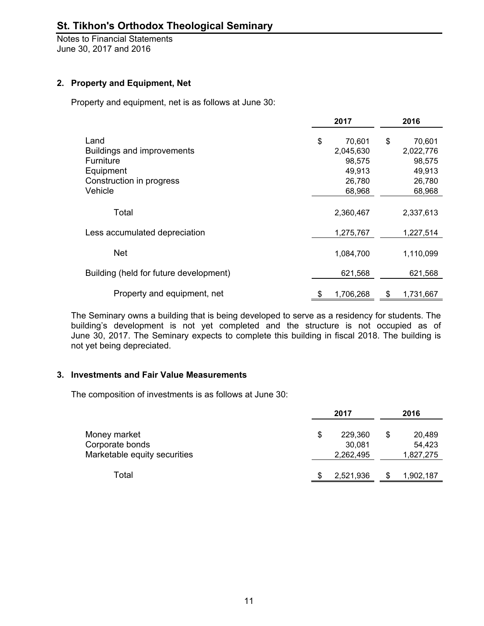# **2. Property and Equipment, Net**

Property and equipment, net is as follows at June 30:

|                                        | 2017 |                     |    | 2016                |  |  |
|----------------------------------------|------|---------------------|----|---------------------|--|--|
| Land<br>Buildings and improvements     | \$   | 70,601<br>2,045,630 | \$ | 70,601<br>2,022,776 |  |  |
| Furniture                              |      | 98,575              |    | 98,575              |  |  |
| Equipment                              |      | 49,913              |    | 49,913              |  |  |
| Construction in progress               |      | 26,780              |    | 26,780              |  |  |
| Vehicle                                |      | 68,968              |    | 68,968              |  |  |
| Total                                  |      | 2,360,467           |    | 2,337,613           |  |  |
| Less accumulated depreciation          |      | 1,275,767           |    | 1,227,514           |  |  |
| <b>Net</b>                             |      | 1,084,700           |    | 1,110,099           |  |  |
| Building (held for future development) |      | 621,568             |    | 621,568             |  |  |
| Property and equipment, net            | \$   | 1,706,268           | \$ | 1,731,667           |  |  |

The Seminary owns a building that is being developed to serve as a residency for students. The building's development is not yet completed and the structure is not occupied as of June 30, 2017. The Seminary expects to complete this building in fiscal 2018. The building is not yet being depreciated.

# **3. Investments and Fair Value Measurements**

The composition of investments is as follows at June 30:

|   | 2016      |                   |           |
|---|-----------|-------------------|-----------|
| S | 229,360   | S                 | 20,489    |
|   | 30.081    |                   | 54.423    |
|   | 2,262,495 |                   | 1,827,275 |
|   |           |                   | 1,902,187 |
|   |           | 2017<br>2,521,936 |           |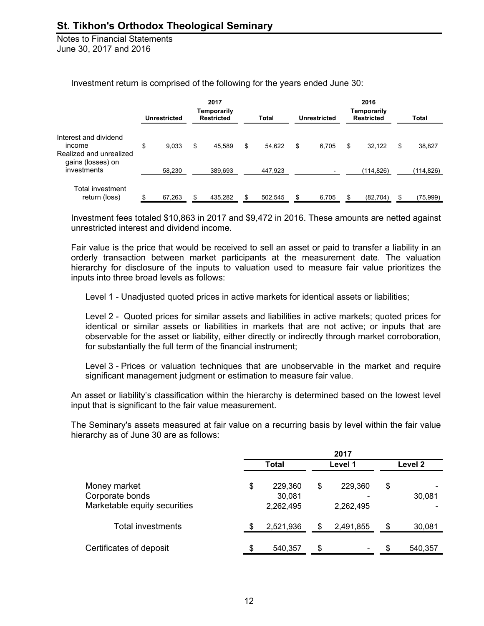|                                                            |                     | 2017                             |    |              |                     | 2016                                    |                 |
|------------------------------------------------------------|---------------------|----------------------------------|----|--------------|---------------------|-----------------------------------------|-----------------|
|                                                            | <b>Unrestricted</b> | Temporarily<br><b>Restricted</b> |    | <b>Total</b> | <b>Unrestricted</b> | <b>Temporarily</b><br><b>Restricted</b> | <b>Total</b>    |
| Interest and dividend<br>income<br>Realized and unrealized | \$<br>9,033         | \$<br>45.589                     | \$ | 54,622       | \$<br>6,705         | \$<br>32.122                            | \$<br>38,827    |
| gains (losses) on<br>investments                           | 58,230              | 389,693                          |    | 447,923      |                     | (114,826)                               | (114,826)       |
| Total investment<br>return (loss)                          | \$<br>67,263        | \$<br>435,282                    | S  | 502.545      | \$<br>6.705         | \$<br>(82, 704)                         | \$<br>(75, 999) |

Investment return is comprised of the following for the years ended June 30:

Investment fees totaled \$10,863 in 2017 and \$9,472 in 2016. These amounts are netted against unrestricted interest and dividend income.

Fair value is the price that would be received to sell an asset or paid to transfer a liability in an orderly transaction between market participants at the measurement date. The valuation hierarchy for disclosure of the inputs to valuation used to measure fair value prioritizes the inputs into three broad levels as follows:

Level 1 - Unadjusted quoted prices in active markets for identical assets or liabilities;

Level 2 - Quoted prices for similar assets and liabilities in active markets; quoted prices for identical or similar assets or liabilities in markets that are not active; or inputs that are observable for the asset or liability, either directly or indirectly through market corroboration, for substantially the full term of the financial instrument;

Level 3 - Prices or valuation techniques that are unobservable in the market and require significant management judgment or estimation to measure fair value.

An asset or liability's classification within the hierarchy is determined based on the lowest level input that is significant to the fair value measurement.

The Seminary's assets measured at fair value on a recurring basis by level within the fair value hierarchy as of June 30 are as follows:

|                                                                 | 2017         |                                |    |                      |         |         |  |
|-----------------------------------------------------------------|--------------|--------------------------------|----|----------------------|---------|---------|--|
|                                                                 | <b>Total</b> |                                |    | Level 1              | Level 2 |         |  |
| Money market<br>Corporate bonds<br>Marketable equity securities | \$           | 229,360<br>30,081<br>2,262,495 | \$ | 229,360<br>2,262,495 | \$      | 30,081  |  |
| <b>Total investments</b>                                        |              | 2,521,936                      |    | 2,491,855            | \$      | 30,081  |  |
| Certificates of deposit                                         | \$           | 540,357                        | \$ | -                    | \$.     | 540,357 |  |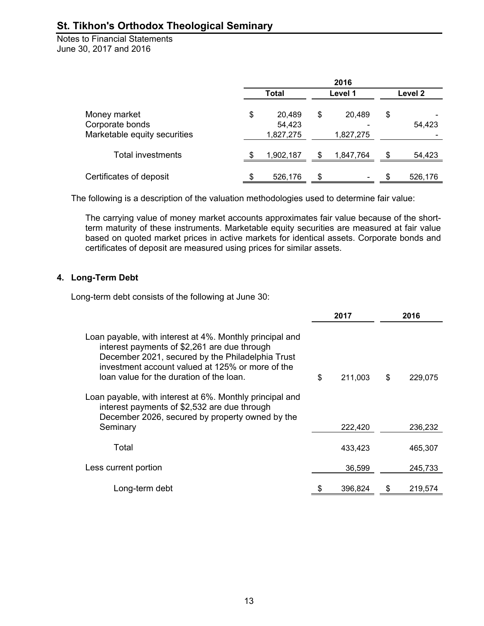Notes to Financial Statements June 30, 2017 and 2016

|                              | 2016 |           |    |           |    |         |
|------------------------------|------|-----------|----|-----------|----|---------|
|                              |      | Total     |    | Level 1   |    | Level 2 |
| Money market                 | \$   | 20,489    | S  | 20,489    | \$ |         |
| Corporate bonds              |      | 54,423    |    |           |    | 54,423  |
| Marketable equity securities |      | 1,827,275 |    | 1,827,275 |    |         |
| <b>Total investments</b>     | \$.  | 1,902,187 | \$ | 1,847,764 | \$ | 54,423  |
|                              |      |           |    |           |    |         |
| Certificates of deposit      | \$   | 526.176   | \$ |           | S  | 526,176 |

The following is a description of the valuation methodologies used to determine fair value:

The carrying value of money market accounts approximates fair value because of the shortterm maturity of these instruments. Marketable equity securities are measured at fair value based on quoted market prices in active markets for identical assets. Corporate bonds and certificates of deposit are measured using prices for similar assets.

# **4. Long-Term Debt**

Long-term debt consists of the following at June 30:

|                                                                                                                                                                                                                                                              | 2017          | 2016          |
|--------------------------------------------------------------------------------------------------------------------------------------------------------------------------------------------------------------------------------------------------------------|---------------|---------------|
| Loan payable, with interest at 4%. Monthly principal and<br>interest payments of \$2,261 are due through<br>December 2021, secured by the Philadelphia Trust<br>investment account valued at 125% or more of the<br>loan value for the duration of the loan. | \$<br>211,003 | \$<br>229,075 |
| Loan payable, with interest at 6%. Monthly principal and<br>interest payments of \$2,532 are due through<br>December 2026, secured by property owned by the<br>Seminary                                                                                      | 222,420       | 236,232       |
| Total                                                                                                                                                                                                                                                        | 433.423       | 465.307       |
| Less current portion                                                                                                                                                                                                                                         | 36,599        | 245,733       |
| Long-term debt                                                                                                                                                                                                                                               | 396,824       | 219,574       |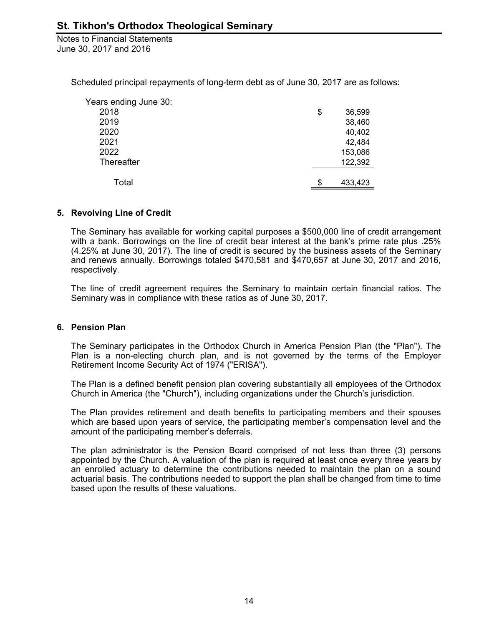Scheduled principal repayments of long-term debt as of June 30, 2017 are as follows:

| Years ending June 30: |               |
|-----------------------|---------------|
| 2018                  | \$<br>36,599  |
| 2019                  | 38,460        |
| 2020                  | 40,402        |
| 2021                  | 42,484        |
| 2022                  | 153,086       |
| Thereafter            | 122,392       |
| Total                 | \$<br>433,423 |

# **5. Revolving Line of Credit**

The Seminary has available for working capital purposes a \$500,000 line of credit arrangement with a bank. Borrowings on the line of credit bear interest at the bank's prime rate plus .25% (4.25% at June 30, 2017). The line of credit is secured by the business assets of the Seminary and renews annually. Borrowings totaled \$470,581 and \$470,657 at June 30, 2017 and 2016, respectively.

The line of credit agreement requires the Seminary to maintain certain financial ratios. The Seminary was in compliance with these ratios as of June 30, 2017.

# **6. Pension Plan**

The Seminary participates in the Orthodox Church in America Pension Plan (the "Plan"). The Plan is a non-electing church plan, and is not governed by the terms of the Employer Retirement Income Security Act of 1974 ("ERISA").

The Plan is a defined benefit pension plan covering substantially all employees of the Orthodox Church in America (the "Church"), including organizations under the Church's jurisdiction.

The Plan provides retirement and death benefits to participating members and their spouses which are based upon years of service, the participating member's compensation level and the amount of the participating member's deferrals.

The plan administrator is the Pension Board comprised of not less than three (3) persons appointed by the Church. A valuation of the plan is required at least once every three years by an enrolled actuary to determine the contributions needed to maintain the plan on a sound actuarial basis. The contributions needed to support the plan shall be changed from time to time based upon the results of these valuations.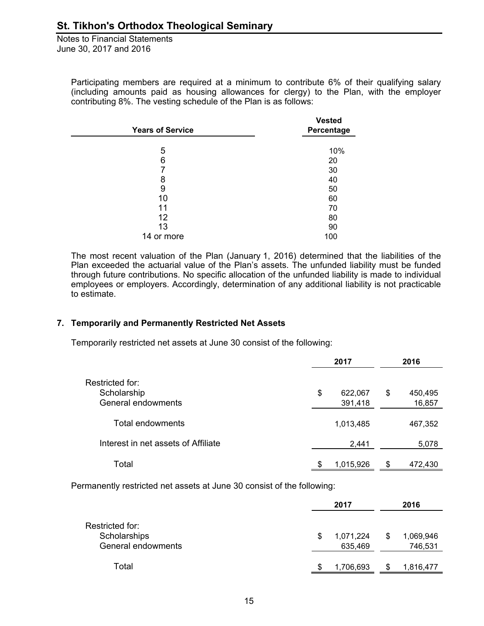Notes to Financial Statements June 30, 2017 and 2016

> Participating members are required at a minimum to contribute 6% of their qualifying salary (including amounts paid as housing allowances for clergy) to the Plan, with the employer contributing 8%. The vesting schedule of the Plan is as follows:

| <b>Years of Service</b> | <b>Vested</b><br>Percentage |
|-------------------------|-----------------------------|
|                         |                             |
| 5                       | 10%                         |
| 6                       | 20                          |
| 7                       | 30                          |
| 8                       | 40                          |
| 9                       | 50                          |
| 10                      | 60                          |
| 11                      | 70                          |
| 12                      | 80                          |
| 13                      | 90                          |
| 14 or more              | 100                         |

The most recent valuation of the Plan (January 1, 2016) determined that the liabilities of the Plan exceeded the actuarial value of the Plan's assets. The unfunded liability must be funded through future contributions. No specific allocation of the unfunded liability is made to individual employees or employers. Accordingly, determination of any additional liability is not practicable to estimate.

# **7. Temporarily and Permanently Restricted Net Assets**

Temporarily restricted net assets at June 30 consist of the following:

|                                                      |    | 2016               |                         |
|------------------------------------------------------|----|--------------------|-------------------------|
| Restricted for:<br>Scholarship<br>General endowments | \$ | 622,067<br>391,418 | \$<br>450,495<br>16,857 |
| Total endowments                                     |    | 1,013,485          | 467,352                 |
| Interest in net assets of Affiliate                  |    | 2,441              | 5,078                   |
| Total                                                | S  | 1,015,926          | \$<br>472,430           |

Permanently restricted net assets at June 30 consist of the following:

|                    |    | 2017      |    |           |
|--------------------|----|-----------|----|-----------|
| Restricted for:    |    |           |    |           |
| Scholarships       | S  | 1,071,224 | \$ | 1,069,946 |
| General endowments |    | 635,469   |    | 746,531   |
| Total              | \$ | 1,706,693 |    | 1,816,477 |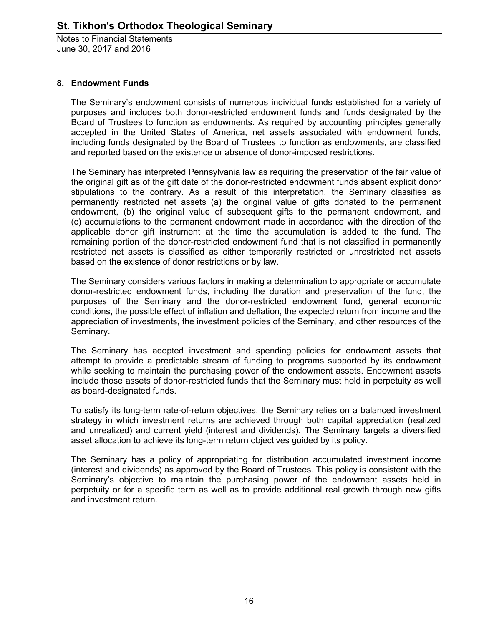# **8. Endowment Funds**

The Seminary's endowment consists of numerous individual funds established for a variety of purposes and includes both donor-restricted endowment funds and funds designated by the Board of Trustees to function as endowments. As required by accounting principles generally accepted in the United States of America, net assets associated with endowment funds, including funds designated by the Board of Trustees to function as endowments, are classified and reported based on the existence or absence of donor-imposed restrictions.

The Seminary has interpreted Pennsylvania law as requiring the preservation of the fair value of the original gift as of the gift date of the donor-restricted endowment funds absent explicit donor stipulations to the contrary. As a result of this interpretation, the Seminary classifies as permanently restricted net assets (a) the original value of gifts donated to the permanent endowment, (b) the original value of subsequent gifts to the permanent endowment, and (c) accumulations to the permanent endowment made in accordance with the direction of the applicable donor gift instrument at the time the accumulation is added to the fund. The remaining portion of the donor-restricted endowment fund that is not classified in permanently restricted net assets is classified as either temporarily restricted or unrestricted net assets based on the existence of donor restrictions or by law.

The Seminary considers various factors in making a determination to appropriate or accumulate donor-restricted endowment funds, including the duration and preservation of the fund, the purposes of the Seminary and the donor-restricted endowment fund, general economic conditions, the possible effect of inflation and deflation, the expected return from income and the appreciation of investments, the investment policies of the Seminary, and other resources of the Seminary.

The Seminary has adopted investment and spending policies for endowment assets that attempt to provide a predictable stream of funding to programs supported by its endowment while seeking to maintain the purchasing power of the endowment assets. Endowment assets include those assets of donor-restricted funds that the Seminary must hold in perpetuity as well as board-designated funds.

To satisfy its long-term rate-of-return objectives, the Seminary relies on a balanced investment strategy in which investment returns are achieved through both capital appreciation (realized and unrealized) and current yield (interest and dividends). The Seminary targets a diversified asset allocation to achieve its long-term return objectives guided by its policy.

The Seminary has a policy of appropriating for distribution accumulated investment income (interest and dividends) as approved by the Board of Trustees. This policy is consistent with the Seminary's objective to maintain the purchasing power of the endowment assets held in perpetuity or for a specific term as well as to provide additional real growth through new gifts and investment return.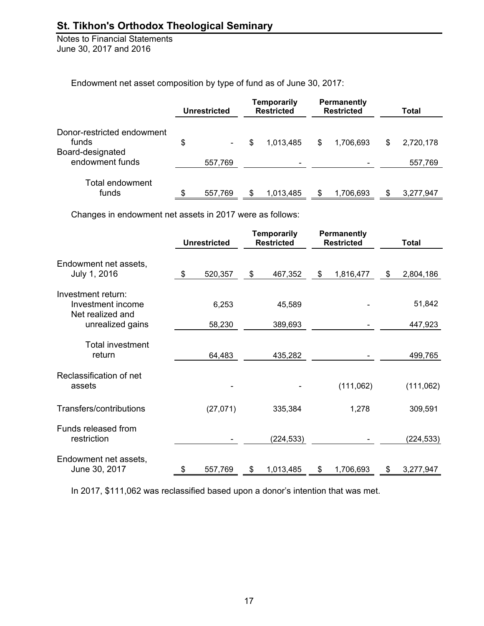Notes to Financial Statements June 30, 2017 and 2016

Endowment net asset composition by type of fund as of June 30, 2017:

|                                     | Unrestricted |         | <b>Temporarily</b><br><b>Restricted</b> |                          | <b>Permanently</b><br><b>Restricted</b> |           | <b>Total</b> |           |
|-------------------------------------|--------------|---------|-----------------------------------------|--------------------------|-----------------------------------------|-----------|--------------|-----------|
| Donor-restricted endowment<br>funds | \$           |         | \$                                      | 1,013,485                | S                                       | 1.706.693 | \$           | 2,720,178 |
| Board-designated<br>endowment funds |              | 557,769 |                                         | $\overline{\phantom{0}}$ |                                         |           |              | 557,769   |
| <b>Total endowment</b><br>funds     |              | 557,769 | \$                                      | 1,013,485                |                                         | 1,706,693 |              | 3,277,947 |

Changes in endowment net assets in 2017 were as follows:

|                                       | <b>Unrestricted</b> |                | <b>Temporarily</b><br><b>Restricted</b> |    | Permanently<br><b>Restricted</b> |    | <b>Total</b> |
|---------------------------------------|---------------------|----------------|-----------------------------------------|----|----------------------------------|----|--------------|
| Endowment net assets,                 |                     |                |                                         |    |                                  |    |              |
| July 1, 2016                          | \$<br>520,357       | $\mathfrak{S}$ | 467,352                                 | \$ | 1,816,477                        | \$ | 2,804,186    |
| Investment return:                    |                     |                |                                         |    |                                  |    |              |
| Investment income<br>Net realized and | 6,253               |                | 45,589                                  |    |                                  |    | 51,842       |
| unrealized gains                      | 58,230              |                | 389,693                                 |    |                                  |    | 447,923      |
| <b>Total investment</b>               |                     |                |                                         |    |                                  |    |              |
| return                                | 64,483              |                | 435,282                                 |    |                                  |    | 499,765      |
| Reclassification of net               |                     |                |                                         |    |                                  |    |              |
| assets                                |                     |                |                                         |    | (111,062)                        |    | (111,062)    |
| Transfers/contributions               | (27, 071)           |                | 335,384                                 |    | 1,278                            |    | 309,591      |
| Funds released from<br>restriction    |                     |                | (224,533)                               |    |                                  |    | (224,533)    |
|                                       |                     |                |                                         |    |                                  |    |              |
| Endowment net assets,                 |                     |                |                                         |    |                                  |    |              |
| June 30, 2017                         | \$<br>557,769       | \$             | 1,013,485                               | \$ | 1,706,693                        | \$ | 3,277,947    |

In 2017, \$111,062 was reclassified based upon a donor's intention that was met.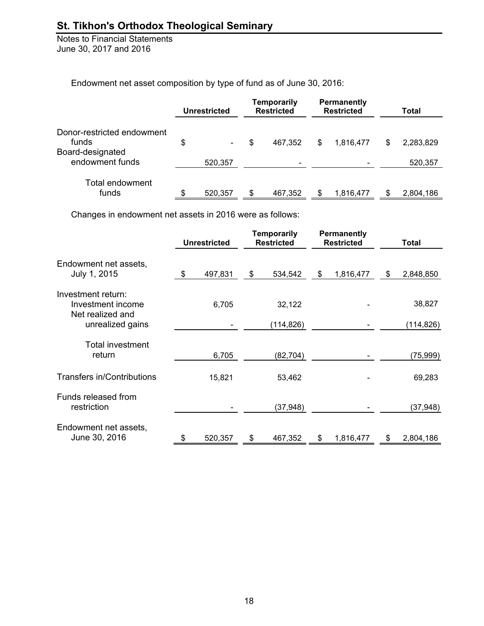Notes to Financial Statements June 30, 2017 and 2016

Endowment net asset composition by type of fund as of June 30, 2016:

|                                     | Unrestricted |         | <b>Temporarily</b><br><b>Restricted</b> |                          | <b>Permanently</b><br><b>Restricted</b> |           | <b>Total</b> |           |
|-------------------------------------|--------------|---------|-----------------------------------------|--------------------------|-----------------------------------------|-----------|--------------|-----------|
| Donor-restricted endowment<br>funds | \$           |         | \$                                      | 467.352                  | \$                                      | 1,816,477 | \$           | 2,283,829 |
| Board-designated<br>endowment funds |              | 520,357 |                                         | $\overline{\phantom{0}}$ |                                         |           |              | 520,357   |
| <b>Total endowment</b><br>funds     | \$           | 520,357 | \$                                      | 467,352                  |                                         | 1,816,477 |              | 2,804,186 |

Changes in endowment net assets in 2016 were as follows:

|                                                             | <b>Unrestricted</b> |         | <b>Temporarily</b><br><b>Restricted</b> |            |    | <b>Permanently</b><br><b>Restricted</b> |    | <b>Total</b> |
|-------------------------------------------------------------|---------------------|---------|-----------------------------------------|------------|----|-----------------------------------------|----|--------------|
| Endowment net assets,<br>July 1, 2015                       | \$                  | 497,831 | \$                                      | 534,542    | \$ | 1,816,477                               | \$ | 2,848,850    |
| Investment return:<br>Investment income<br>Net realized and |                     | 6,705   |                                         | 32,122     |    |                                         |    | 38,827       |
| unrealized gains                                            |                     |         |                                         | (114, 826) |    |                                         |    | (114, 826)   |
| <b>Total investment</b><br>return                           |                     | 6,705   |                                         | (82, 704)  |    |                                         |    | (75,999)     |
| Transfers in/Contributions                                  |                     | 15,821  |                                         | 53,462     |    |                                         |    | 69,283       |
| Funds released from<br>restriction                          |                     |         |                                         | (37, 948)  |    |                                         |    | (37,948)     |
| Endowment net assets,<br>June 30, 2016                      |                     | 520,357 | \$                                      | 467,352    | S  | 1,816,477                               | S. | 2,804,186    |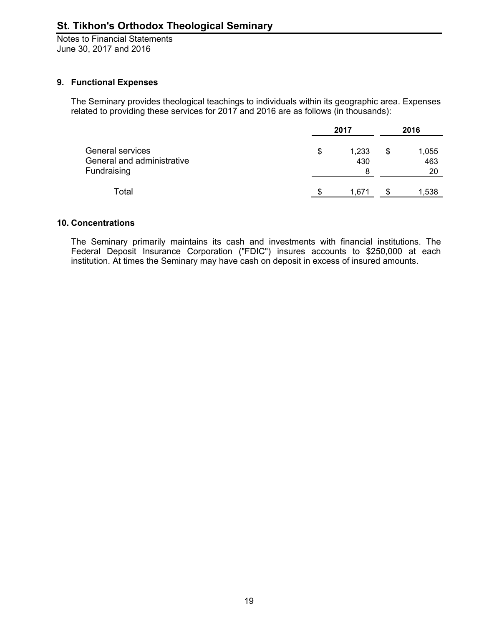# **9. Functional Expenses**

The Seminary provides theological teachings to individuals within its geographic area. Expenses related to providing these services for 2017 and 2016 are as follows (in thousands):

|                                                               | 2017                    |    | 2016               |
|---------------------------------------------------------------|-------------------------|----|--------------------|
| General services<br>General and administrative<br>Fundraising | \$<br>1,233<br>430<br>8 | S  | 1,055<br>463<br>20 |
| Total                                                         | \$<br>1.671             | S. | 1,538              |

### **10. Concentrations**

The Seminary primarily maintains its cash and investments with financial institutions. The Federal Deposit Insurance Corporation ("FDIC") insures accounts to \$250,000 at each institution. At times the Seminary may have cash on deposit in excess of insured amounts.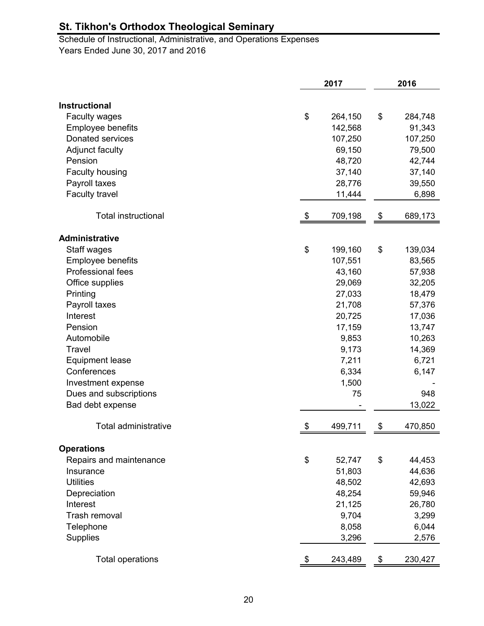Schedule of Instructional, Administrative, and Operations Expenses Years Ended June 30, 2017 and 2016

|                             |    | 2017    | 2016          |
|-----------------------------|----|---------|---------------|
|                             |    |         |               |
| <b>Instructional</b>        |    |         |               |
| Faculty wages               | \$ | 264,150 | \$<br>284,748 |
| <b>Employee benefits</b>    |    | 142,568 | 91,343        |
| Donated services            |    | 107,250 | 107,250       |
| <b>Adjunct faculty</b>      |    | 69,150  | 79,500        |
| Pension                     |    | 48,720  | 42,744        |
| Faculty housing             |    | 37,140  | 37,140        |
| Payroll taxes               |    | 28,776  | 39,550        |
| Faculty travel              |    | 11,444  | 6,898         |
| <b>Total instructional</b>  | \$ | 709,198 | \$<br>689,173 |
| <b>Administrative</b>       |    |         |               |
| Staff wages                 | \$ | 199,160 | \$<br>139,034 |
| <b>Employee benefits</b>    |    | 107,551 | 83,565        |
| Professional fees           |    | 43,160  | 57,938        |
| Office supplies             |    | 29,069  | 32,205        |
| Printing                    |    | 27,033  | 18,479        |
| Payroll taxes               |    | 21,708  | 57,376        |
| Interest                    |    | 20,725  | 17,036        |
| Pension                     |    | 17,159  | 13,747        |
| Automobile                  |    | 9,853   | 10,263        |
| <b>Travel</b>               |    | 9,173   | 14,369        |
| <b>Equipment lease</b>      |    | 7,211   | 6,721         |
| Conferences                 |    | 6,334   | 6,147         |
| Investment expense          |    | 1,500   |               |
| Dues and subscriptions      |    | 75      | 948           |
| Bad debt expense            |    |         | 13,022        |
| <b>Total administrative</b> | \$ | 499,711 | \$<br>470,850 |
| <b>Operations</b>           |    |         |               |
| Repairs and maintenance     | \$ | 52,747  | \$<br>44,453  |
| Insurance                   |    | 51,803  | 44,636        |
| <b>Utilities</b>            |    | 48,502  | 42,693        |
| Depreciation                |    | 48,254  | 59,946        |
| Interest                    |    | 21,125  | 26,780        |
| Trash removal               |    | 9,704   | 3,299         |
| Telephone                   |    | 8,058   | 6,044         |
| <b>Supplies</b>             |    | 3,296   | 2,576         |
|                             |    |         |               |
| <b>Total operations</b>     | \$ | 243,489 | \$<br>230,427 |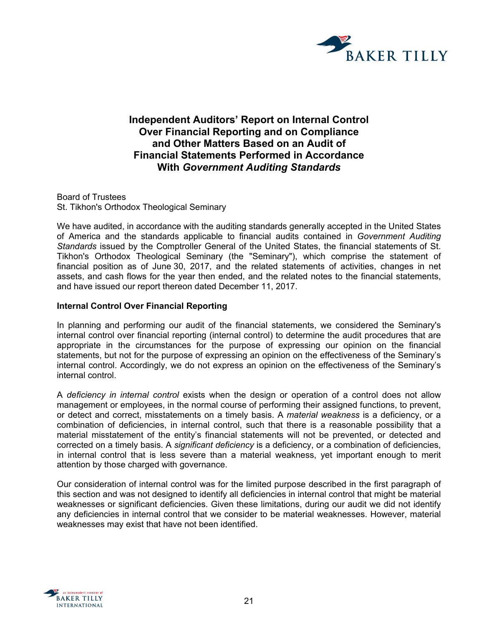

# **Independent Auditors' Report on Internal Control Over Financial Reporting and on Compliance and Other Matters Based on an Audit of Financial Statements Performed in Accordance With** *Government Auditing Standards*

Board of Trustees St. Tikhon's Orthodox Theological Seminary

We have audited, in accordance with the auditing standards generally accepted in the United States of America and the standards applicable to financial audits contained in *Government Auditing Standards* issued by the Comptroller General of the United States, the financial statements of St. Tikhon's Orthodox Theological Seminary (the "Seminary"), which comprise the statement of financial position as of June 30, 2017, and the related statements of activities, changes in net assets, and cash flows for the year then ended, and the related notes to the financial statements, and have issued our report thereon dated December 11, 2017.

#### **Internal Control Over Financial Reporting**

In planning and performing our audit of the financial statements, we considered the Seminary's internal control over financial reporting (internal control) to determine the audit procedures that are appropriate in the circumstances for the purpose of expressing our opinion on the financial statements, but not for the purpose of expressing an opinion on the effectiveness of the Seminary's internal control. Accordingly, we do not express an opinion on the effectiveness of the Seminary's internal control.

A *deficiency in internal control* exists when the design or operation of a control does not allow management or employees, in the normal course of performing their assigned functions, to prevent, or detect and correct, misstatements on a timely basis. A *material weakness* is a deficiency, or a combination of deficiencies, in internal control, such that there is a reasonable possibility that a material misstatement of the entity's financial statements will not be prevented, or detected and corrected on a timely basis. A *significant deficiency* is a deficiency, or a combination of deficiencies, in internal control that is less severe than a material weakness, yet important enough to merit attention by those charged with governance.

Our consideration of internal control was for the limited purpose described in the first paragraph of this section and was not designed to identify all deficiencies in internal control that might be material weaknesses or significant deficiencies. Given these limitations, during our audit we did not identify any deficiencies in internal control that we consider to be material weaknesses. However, material weaknesses may exist that have not been identified.